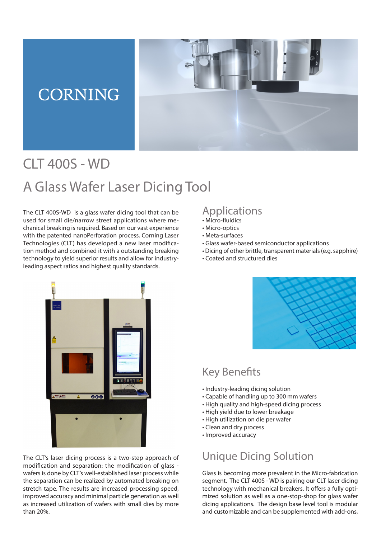## **CORNING**



# CLT 400S - WD A Glass Wafer Laser Dicing Tool

The CLT 400S-WD is a glass wafer dicing tool that can be used for small die/narrow street applications where mechanical breaking is required. Based on our vast experience with the patented nanoPerforation process, Corning Laser Technologies (CLT) has developed a new laser modification method and combined it with a outstanding breaking technology to yield superior results and allow for industryleading aspect ratios and highest quality standards.

#### Applications

- Micro-fluidics
- Micro-optics
- Meta-surfaces
- Glass wafer-based semiconductor applications
- Dicing of other brittle, transparent materials (e.g. sapphire)
- Coated and structured dies



The CLT's laser dicing process is a two-step approach of modification and separation: the modification of glass wafers is done by CLT's well-established laser process while the separation can be realized by automated breaking on stretch tape. The results are increased processing speed, improved accuracy and minimal particle generation as well as increased utilization of wafers with small dies by more than 20%.



### Key Benefits

- Industry-leading dicing solution
- Capable of handling up to 300 mm wafers
- High quality and high-speed dicing process
- High yield due to lower breakage
- High utilization on die per wafer
- Clean and dry process
- Improved accuracy

### Unique Dicing Solution

Glass is becoming more prevalent in the Micro-fabrication segment. The CLT 400S - WD is pairing our CLT laser dicing technology with mechanical breakers. It offers a fully optimized solution as well as a one-stop-shop for glass wafer dicing applications. The design base level tool is modular and customizable and can be supplemented with add-ons,